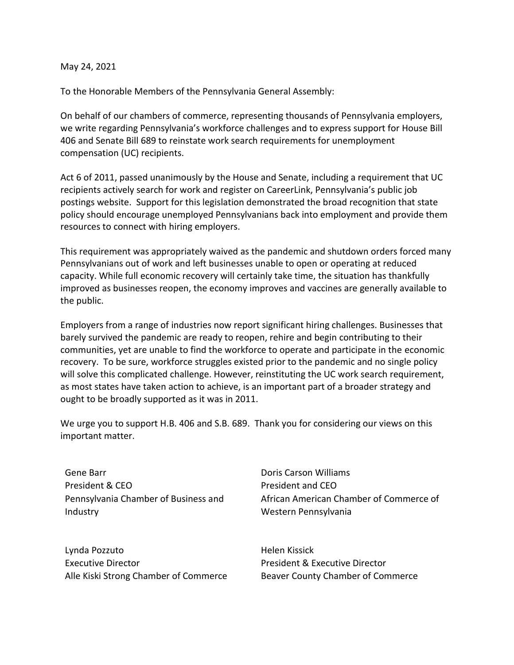## May 24, 2021

To the Honorable Members of the Pennsylvania General Assembly:

On behalf of our chambers of commerce, representing thousands of Pennsylvania employers, we write regarding Pennsylvania's workforce challenges and to express support for House Bill 406 and Senate Bill 689 to reinstate work search requirements for unemployment compensation (UC) recipients.

Act 6 of 2011, passed unanimously by the House and Senate, including a requirement that UC recipients actively search for work and register on CareerLink, Pennsylvania's public job postings website. Support for this legislation demonstrated the broad recognition that state policy should encourage unemployed Pennsylvanians back into employment and provide them resources to connect with hiring employers.

This requirement was appropriately waived as the pandemic and shutdown orders forced many Pennsylvanians out of work and left businesses unable to open or operating at reduced capacity. While full economic recovery will certainly take time, the situation has thankfully improved as businesses reopen, the economy improves and vaccines are generally available to the public.

Employers from a range of industries now report significant hiring challenges. Businesses that barely survived the pandemic are ready to reopen, rehire and begin contributing to their communities, yet are unable to find the workforce to operate and participate in the economic recovery. To be sure, workforce struggles existed prior to the pandemic and no single policy will solve this complicated challenge. However, reinstituting the UC work search requirement, as most states have taken action to achieve, is an important part of a broader strategy and ought to be broadly supported as it was in 2011.

We urge you to support H.B. 406 and S.B. 689. Thank you for considering our views on this important matter.

Gene Barr President & CEO Pennsylvania Chamber of Business and Industry

Lynda Pozzuto Executive Director Alle Kiski Strong Chamber of Commerce

Doris Carson Williams President and CEO African American Chamber of Commerce of Western Pennsylvania

Helen Kissick President & Executive Director Beaver County Chamber of Commerce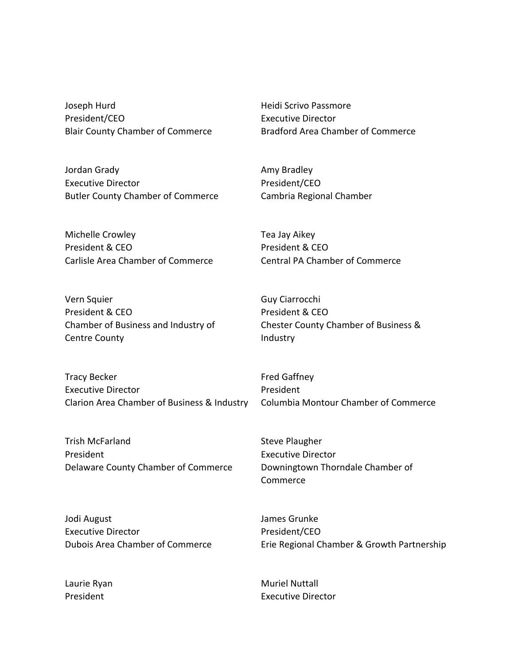Joseph Hurd President/CEO Blair County Chamber of Commerce

Jordan Grady Executive Director Butler County Chamber of Commerce

Michelle Crowley President & CEO Carlisle Area Chamber of Commerce

Vern Squier President & CEO Chamber of Business and Industry of Centre County

Tracy Becker Executive Director Clarion Area Chamber of Business & Industry

Trish McFarland President Delaware County Chamber of Commerce Heidi Scrivo Passmore Executive Director Bradford Area Chamber of Commerce

Amy Bradley President/CEO Cambria Regional Chamber

Tea Jay Aikey President & CEO Central PA Chamber of Commerce

Guy Ciarrocchi President & CEO Chester County Chamber of Business & Industry

Fred Gaffney President Columbia Montour Chamber of Commerce

Steve Plaugher Executive Director Downingtown Thorndale Chamber of Commerce

Jodi August Executive Director Dubois Area Chamber of Commerce James Grunke President/CEO Erie Regional Chamber & Growth Partnership

Laurie Ryan President

Muriel Nuttall Executive Director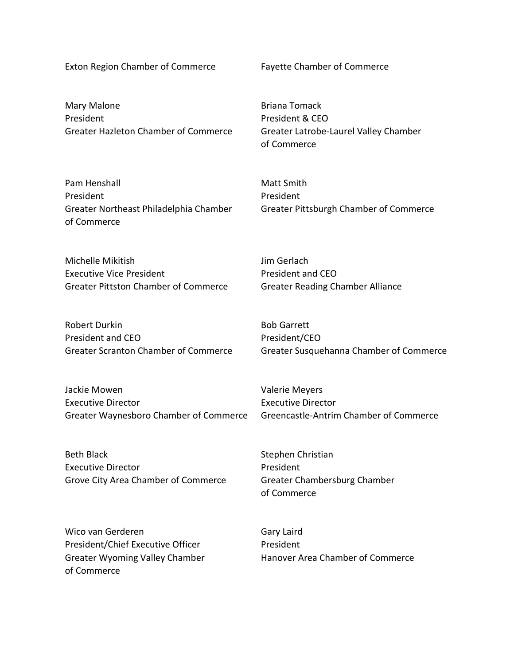Exton Region Chamber of Commerce Fayette Chamber of Commerce

Mary Malone President Greater Hazleton Chamber of Commerce

Briana Tomack President & CEO Greater Latrobe-Laurel Valley Chamber of Commerce

| Pam Henshall                           | Matt Smith                             |
|----------------------------------------|----------------------------------------|
| President                              | President                              |
| Greater Northeast Philadelphia Chamber | Greater Pittsburgh Chamber of Commerce |
| of Commerce                            |                                        |

Jim Gerlach

President and CEO

Michelle Mikitish Executive Vice President Greater Pittston Chamber of Commerce

Robert Durkin President and CEO Greater Scranton Chamber of Commerce Bob Garrett President/CEO Greater Susquehanna Chamber of Commerce

Greater Reading Chamber Alliance

Jackie Mowen Executive Director Greater Waynesboro Chamber of Commerce

Beth Black Executive Director Grove City Area Chamber of Commerce Valerie Meyers Executive Director Greencastle-Antrim Chamber of Commerce

Stephen Christian President Greater Chambersburg Chamber of Commerce

Wico van Gerderen President/Chief Executive Officer Greater Wyoming Valley Chamber of Commerce

Gary Laird President Hanover Area Chamber of Commerce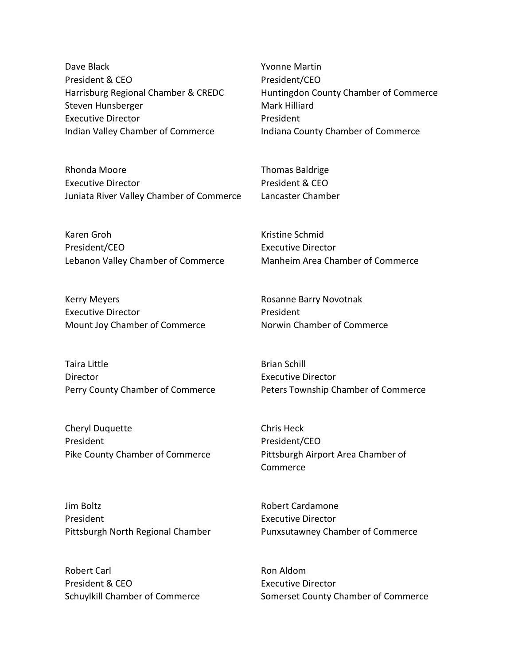Dave Black President & CEO Harrisburg Regional Chamber & CREDC Steven Hunsberger Executive Director Indian Valley Chamber of Commerce

Yvonne Martin President/CEO Huntingdon County Chamber of Commerce Mark Hilliard President Indiana County Chamber of Commerce

Rhonda Moore Executive Director Juniata River Valley Chamber of Commerce

Karen Groh President/CEO Lebanon Valley Chamber of Commerce

Kerry Meyers Executive Director Mount Joy Chamber of Commerce

Taira Little Director Perry County Chamber of Commerce

Cheryl Duquette President Pike County Chamber of Commerce

Jim Boltz President Pittsburgh North Regional Chamber

Robert Carl President & CEO Schuylkill Chamber of Commerce Thomas Baldrige President & CEO Lancaster Chamber

Kristine Schmid Executive Director Manheim Area Chamber of Commerce

Rosanne Barry Novotnak President Norwin Chamber of Commerce

Brian Schill Executive Director Peters Township Chamber of Commerce

Chris Heck President/CEO Pittsburgh Airport Area Chamber of Commerce

Robert Cardamone Executive Director Punxsutawney Chamber of Commerce

Ron Aldom Executive Director Somerset County Chamber of Commerce